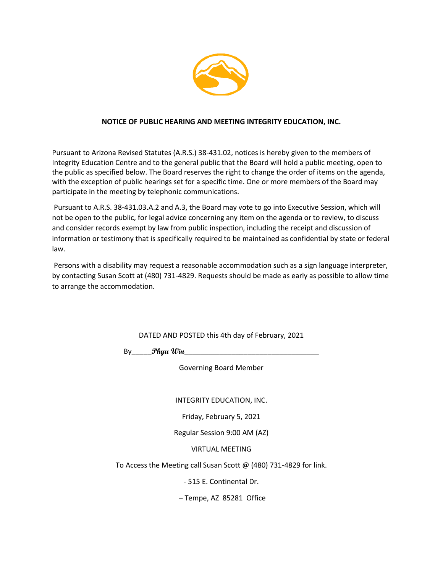

### **NOTICE OF PUBLIC HEARING AND MEETING INTEGRITY EDUCATION, INC.**

Pursuant to Arizona Revised Statutes (A.R.S.) 38-431.02, notices is hereby given to the members of Integrity Education Centre and to the general public that the Board will hold a public meeting, open to the public as specified below. The Board reserves the right to change the order of items on the agenda, with the exception of public hearings set for a specific time. One or more members of the Board may participate in the meeting by telephonic communications.

Pursuant to A.R.S. 38-431.03.A.2 and A.3, the Board may vote to go into Executive Session, which will not be open to the public, for legal advice concerning any item on the agenda or to review, to discuss and consider records exempt by law from public inspection, including the receipt and discussion of information or testimony that is specifically required to be maintained as confidential by state or federal law.

Persons with a disability may request a reasonable accommodation such as a sign language interpreter, by contacting Susan Scott at (480) 731-4829. Requests should be made as early as possible to allow time to arrange the accommodation.

DATED AND POSTED this 4th day of February, 2021

By\_\_\_\_\_**Phyu Win**\_\_\_\_\_\_\_\_\_\_\_\_\_\_\_\_\_\_\_\_\_\_\_\_\_\_\_\_\_\_\_\_\_\_

Governing Board Member

INTEGRITY EDUCATION, INC.

Friday, February 5, 2021

Regular Session 9:00 AM (AZ)

VIRTUAL MEETING

To Access the Meeting call Susan Scott @ (480) 731-4829 for link.

- 515 E. Continental Dr.

– Tempe, AZ 85281 Office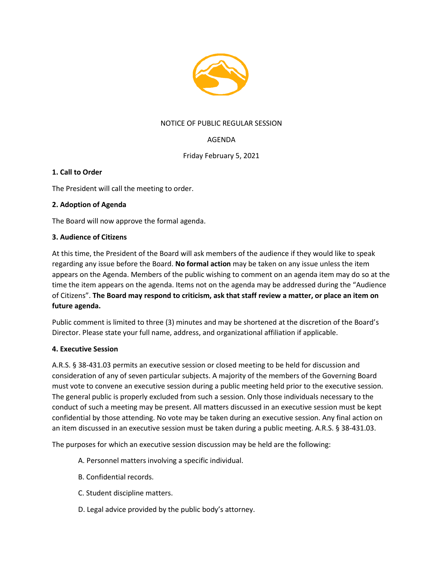

## NOTICE OF PUBLIC REGULAR SESSION

# AGENDA

Friday February 5, 2021

### **1. Call to Order**

The President will call the meeting to order.

### **2. Adoption of Agenda**

The Board will now approve the formal agenda.

### **3. Audience of Citizens**

At this time, the President of the Board will ask members of the audience if they would like to speak regarding any issue before the Board. **No formal action** may be taken on any issue unless the item appears on the Agenda. Members of the public wishing to comment on an agenda item may do so at the time the item appears on the agenda. Items not on the agenda may be addressed during the "Audience of Citizens". **The Board may respond to criticism, ask that staff review a matter, or place an item on future agenda.**

Public comment is limited to three (3) minutes and may be shortened at the discretion of the Board's Director. Please state your full name, address, and organizational affiliation if applicable.

### **4. Executive Session**

A.R.S. § 38-431.03 permits an executive session or closed meeting to be held for discussion and consideration of any of seven particular subjects. A majority of the members of the Governing Board must vote to convene an executive session during a public meeting held prior to the executive session. The general public is properly excluded from such a session. Only those individuals necessary to the conduct of such a meeting may be present. All matters discussed in an executive session must be kept confidential by those attending. No vote may be taken during an executive session. Any final action on an item discussed in an executive session must be taken during a public meeting. A.R.S. § 38-431.03.

The purposes for which an executive session discussion may be held are the following:

- A. Personnel matters involving a specific individual.
- B. Confidential records.
- C. Student discipline matters.
- D. Legal advice provided by the public body's attorney.